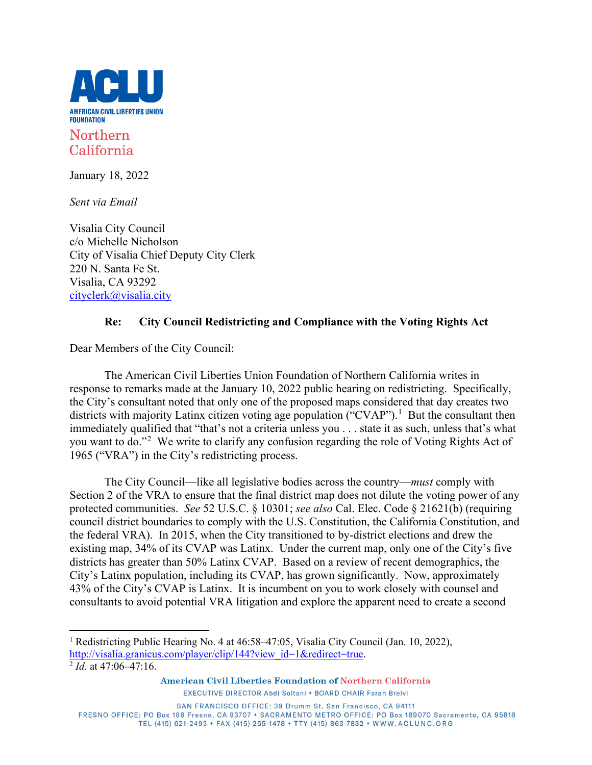

## California

January 18, 2022

*Sent via Email*

Visalia City Council c/o Michelle Nicholson City of Visalia Chief Deputy City Clerk 220 N. Santa Fe St. Visalia, CA 93292 [cityclerk@visalia.city](mailto:cityclerk@visalia.city)

## **Re: City Council Redistricting and Compliance with the Voting Rights Act**

Dear Members of the City Council:

The American Civil Liberties Union Foundation of Northern California writes in response to remarks made at the January 10, 2022 public hearing on redistricting. Specifically, the City's consultant noted that only one of the proposed maps considered that day creates two districts with majority Latinx citizen voting age population ("CVAP").<sup>[1](#page-0-0)</sup> But the consultant then immediately qualified that "that's not a criteria unless you . . . state it as such, unless that's what you want to do."<sup>[2](#page-0-1)</sup> We write to clarify any confusion regarding the role of Voting Rights Act of 1965 ("VRA") in the City's redistricting process.

The City Council—like all legislative bodies across the country—*must* comply with Section 2 of the VRA to ensure that the final district map does not dilute the voting power of any protected communities. *See* 52 U.S.C. § 10301; *see also* Cal. Elec. Code § 21621(b) (requiring council district boundaries to comply with the U.S. Constitution, the California Constitution, and the federal VRA). In 2015, when the City transitioned to by-district elections and drew the existing map, 34% of its CVAP was Latinx. Under the current map, only one of the City's five districts has greater than 50% Latinx CVAP. Based on a review of recent demographics, the City's Latinx population, including its CVAP, has grown significantly. Now, approximately 43% of the City's CVAP is Latinx. It is incumbent on you to work closely with counsel and consultants to avoid potential VRA litigation and explore the apparent need to create a second

FRESNO OFFICE: PO Box 188 Fresno, CA 93707 · SACRAMENTO METRO OFFICE: PO Box 189070 Sacramento, CA 95818 TEL (415) 621-2493 • FAX (415) 255-1478 • TTY (415) 863-7832 • WWW.ACLUNC.ORG

<span id="page-0-0"></span><sup>1</sup> Redistricting Public Hearing No. 4 at 46:58–47:05, Visalia City Council (Jan. 10, 2022), [http://visalia.granicus.com/player/clip/144?view\\_id=1&redirect=true.](http://visalia.granicus.com/player/clip/144?view_id=1&redirect=true)

<span id="page-0-1"></span> $^{2}$  *Id.* at 47:06–47:16.